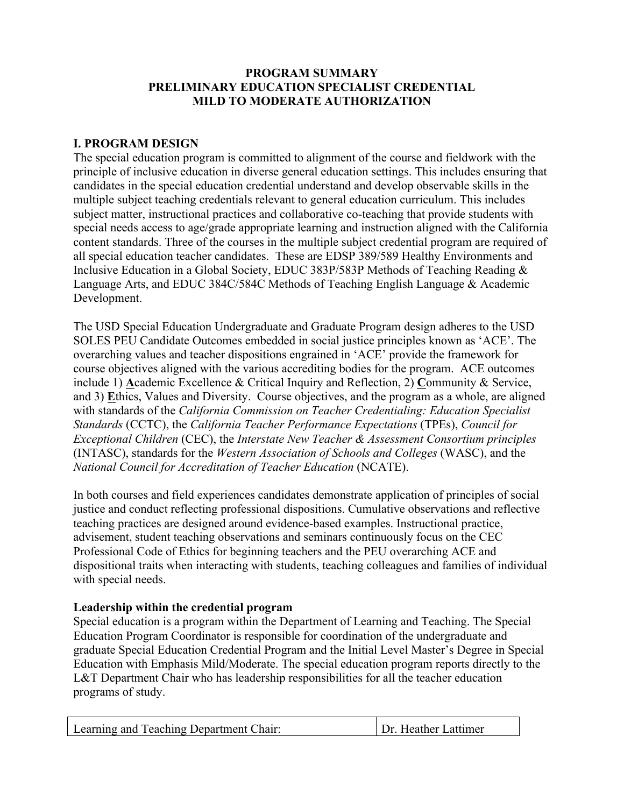# **PROGRAM SUMMARY PRELIMINARY EDUCATION SPECIALIST CREDENTIAL MILD TO MODERATE AUTHORIZATION**

# **I. PROGRAM DESIGN**

The special education program is committed to alignment of the course and fieldwork with the principle of inclusive education in diverse general education settings. This includes ensuring that candidates in the special education credential understand and develop observable skills in the multiple subject teaching credentials relevant to general education curriculum. This includes subject matter, instructional practices and collaborative co-teaching that provide students with special needs access to age/grade appropriate learning and instruction aligned with the California content standards. Three of the courses in the multiple subject credential program are required of all special education teacher candidates. These are EDSP 389/589 Healthy Environments and Inclusive Education in a Global Society, EDUC 383P/583P Methods of Teaching Reading & Language Arts, and EDUC 384C/584C Methods of Teaching English Language & Academic Development.

The USD Special Education Undergraduate and Graduate Program design adheres to the USD SOLES PEU Candidate Outcomes embedded in social justice principles known as 'ACE'. The overarching values and teacher dispositions engrained in 'ACE' provide the framework for course objectives aligned with the various accrediting bodies for the program. ACE outcomes include 1) **A**cademic Excellence & Critical Inquiry and Reflection, 2) **C**ommunity & Service, and 3) **E**thics, Values and Diversity. Course objectives, and the program as a whole, are aligned with standards of the *California Commission on Teacher Credentialing: Education Specialist Standards* (CCTC), the *California Teacher Performance Expectations* (TPEs), *Council for Exceptional Children* (CEC), the *Interstate New Teacher & Assessment Consortium principles* (INTASC), standards for the *Western Association of Schools and Colleges* (WASC), and the *National Council for Accreditation of Teacher Education* (NCATE).

In both courses and field experiences candidates demonstrate application of principles of social justice and conduct reflecting professional dispositions. Cumulative observations and reflective teaching practices are designed around evidence-based examples. Instructional practice, advisement, student teaching observations and seminars continuously focus on the CEC Professional Code of Ethics for beginning teachers and the PEU overarching ACE and dispositional traits when interacting with students, teaching colleagues and families of individual with special needs.

# **Leadership within the credential program**

Special education is a program within the Department of Learning and Teaching. The Special Education Program Coordinator is responsible for coordination of the undergraduate and graduate Special Education Credential Program and the Initial Level Master's Degree in Special Education with Emphasis Mild/Moderate. The special education program reports directly to the L&T Department Chair who has leadership responsibilities for all the teacher education programs of study.

| Learning and Teaching Department Chair: | Dr. Heather Lattimer |
|-----------------------------------------|----------------------|
|-----------------------------------------|----------------------|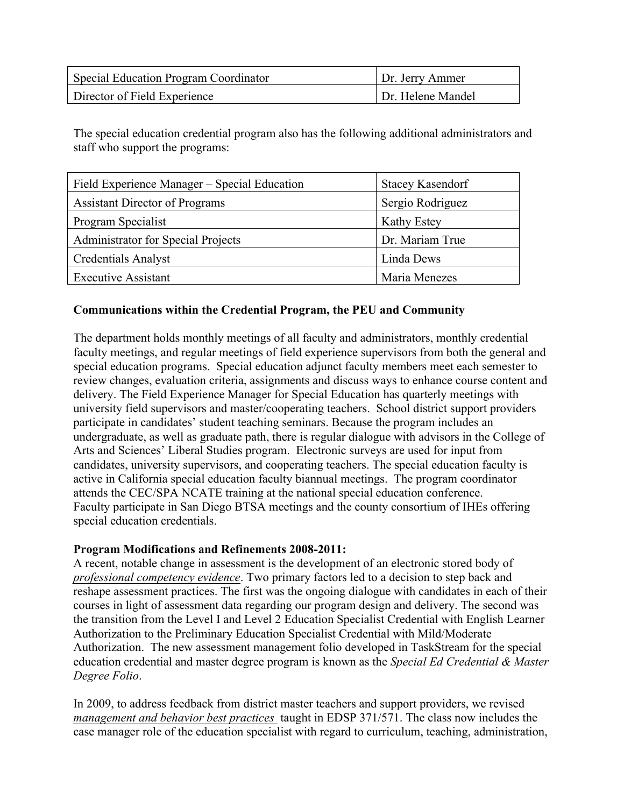| <b>Special Education Program Coordinator</b> | Dr. Jerry Ammer   |
|----------------------------------------------|-------------------|
| Director of Field Experience                 | Dr. Helene Mandel |

The special education credential program also has the following additional administrators and staff who support the programs:

| Field Experience Manager – Special Education | <b>Stacey Kasendorf</b> |
|----------------------------------------------|-------------------------|
| <b>Assistant Director of Programs</b>        | Sergio Rodriguez        |
| Program Specialist                           | Kathy Estey             |
| <b>Administrator for Special Projects</b>    | Dr. Mariam True         |
| <b>Credentials Analyst</b>                   | Linda Dews              |
| <b>Executive Assistant</b>                   | Maria Menezes           |

# **Communications within the Credential Program, the PEU and Community**

The department holds monthly meetings of all faculty and administrators, monthly credential faculty meetings, and regular meetings of field experience supervisors from both the general and special education programs. Special education adjunct faculty members meet each semester to review changes, evaluation criteria, assignments and discuss ways to enhance course content and delivery. The Field Experience Manager for Special Education has quarterly meetings with university field supervisors and master/cooperating teachers. School district support providers participate in candidates' student teaching seminars. Because the program includes an undergraduate, as well as graduate path, there is regular dialogue with advisors in the College of Arts and Sciences' Liberal Studies program. Electronic surveys are used for input from candidates, university supervisors, and cooperating teachers. The special education faculty is active in California special education faculty biannual meetings. The program coordinator attends the CEC/SPA NCATE training at the national special education conference. Faculty participate in San Diego BTSA meetings and the county consortium of IHEs offering special education credentials.

## **Program Modifications and Refinements 2008-2011:**

A recent, notable change in assessment is the development of an electronic stored body of *professional competency evidence*. Two primary factors led to a decision to step back and reshape assessment practices. The first was the ongoing dialogue with candidates in each of their courses in light of assessment data regarding our program design and delivery. The second was the transition from the Level I and Level 2 Education Specialist Credential with English Learner Authorization to the Preliminary Education Specialist Credential with Mild/Moderate Authorization. The new assessment management folio developed in TaskStream for the special education credential and master degree program is known as the *Special Ed Credential & Master Degree Folio*.

In 2009, to address feedback from district master teachers and support providers, we revised *management and behavior best practices* taught in EDSP 371/571. The class now includes the case manager role of the education specialist with regard to curriculum, teaching, administration,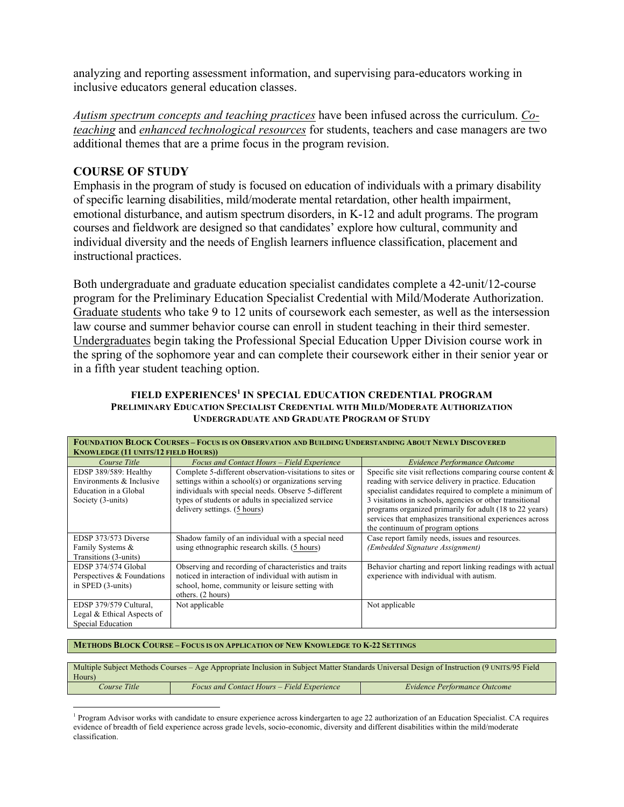analyzing and reporting assessment information, and supervising para-educators working in inclusive educators general education classes.

*Autism spectrum concepts and teaching practices* have been infused across the curriculum. *Coteaching* and *enhanced technological resources* for students, teachers and case managers are two additional themes that are a prime focus in the program revision.

## **COURSE OF STUDY**

Emphasis in the program of study is focused on education of individuals with a primary disability of specific learning disabilities, mild/moderate mental retardation, other health impairment, emotional disturbance, and autism spectrum disorders, in K-12 and adult programs. The program courses and fieldwork are designed so that candidates' explore how cultural, community and individual diversity and the needs of English learners influence classification, placement and instructional practices.

Both undergraduate and graduate education specialist candidates complete a 42-unit/12-course program for the Preliminary Education Specialist Credential with Mild/Moderate Authorization. Graduate students who take 9 to 12 units of coursework each semester, as well as the intersession law course and summer behavior course can enroll in student teaching in their third semester. Undergraduates begin taking the Professional Special Education Upper Division course work in the spring of the sophomore year and can complete their coursework either in their senior year or in a fifth year student teaching option.

### **FIELD EXPERIENCES<sup>1</sup> IN SPECIAL EDUCATION CREDENTIAL PROGRAM PRELIMINARY EDUCATION SPECIALIST CREDENTIAL WITH MILD/MODERATE AUTHORIZATION UNDERGRADUATE AND GRADUATE PROGRAM OF STUDY**

| <b>FOUNDATION BLOCK COURSES - FOCUS IS ON OBSERVATION AND BUILDING UNDERSTANDING ABOUT NEWLY DISCOVERED</b><br><b>KNOWLEDGE (11 UNITS/12 FIELD HOURS))</b> |                                                          |                                                               |
|------------------------------------------------------------------------------------------------------------------------------------------------------------|----------------------------------------------------------|---------------------------------------------------------------|
| Course Title                                                                                                                                               | Focus and Contact Hours - Field Experience               | Evidence Performance Outcome                                  |
| EDSP 389/589: Healthy                                                                                                                                      | Complete 5-different observation-visitations to sites or | Specific site visit reflections comparing course content $\&$ |
| Environments & Inclusive                                                                                                                                   | settings within a school(s) or organizations serving     | reading with service delivery in practice. Education          |
| Education in a Global                                                                                                                                      | individuals with special needs. Observe 5-different      | specialist candidates required to complete a minimum of       |
| Society (3-units)                                                                                                                                          | types of students or adults in specialized service       | 3 visitations in schools, agencies or other transitional      |
|                                                                                                                                                            | delivery settings. (5 hours)                             | programs organized primarily for adult (18 to 22 years)       |
|                                                                                                                                                            |                                                          | services that emphasizes transitional experiences across      |
|                                                                                                                                                            |                                                          | the continuum of program options                              |
| EDSP 373/573 Diverse                                                                                                                                       | Shadow family of an individual with a special need       | Case report family needs, issues and resources.               |
| Family Systems &                                                                                                                                           | using ethnographic research skills. (5 hours)            | (Embedded Signature Assignment)                               |
| Transitions (3-units)                                                                                                                                      |                                                          |                                                               |
| EDSP 374/574 Global                                                                                                                                        | Observing and recording of characteristics and traits    | Behavior charting and report linking readings with actual     |
| Perspectives & Foundations                                                                                                                                 | noticed in interaction of individual with autism in      | experience with individual with autism.                       |
| in SPED (3-units)                                                                                                                                          | school, home, community or leisure setting with          |                                                               |
|                                                                                                                                                            | others. (2 hours)                                        |                                                               |
| EDSP 379/579 Cultural,                                                                                                                                     | Not applicable                                           | Not applicable                                                |
| Legal & Ethical Aspects of                                                                                                                                 |                                                          |                                                               |
| Special Education                                                                                                                                          |                                                          |                                                               |

#### **METHODS BLOCK COURSE – FOCUS IS ON APPLICATION OF NEW KNOWLEDGE TO K-22 SETTINGS**

!!!!!!!!!!!!!!!!!!!!!!!!!!!!!!!!!!!!!!!!!!!!!!!!!!!!!!!!!!!!

| Multiple Subject Methods Courses – Age Appropriate Inclusion in Subject Matter Standards Universal Design of Instruction (9 UNITS/95 Field<br>Hours) |                                            |                              |
|------------------------------------------------------------------------------------------------------------------------------------------------------|--------------------------------------------|------------------------------|
| <i>Course Title</i>                                                                                                                                  | Focus and Contact Hours – Field Experience | Evidence Performance Outcome |

<sup>&</sup>lt;sup>1</sup> Program Advisor works with candidate to ensure experience across kindergarten to age 22 authorization of an Education Specialist. CA requires evidence of breadth of field experience across grade levels, socio-economic, diversity and different disabilities within the mild/moderate classification.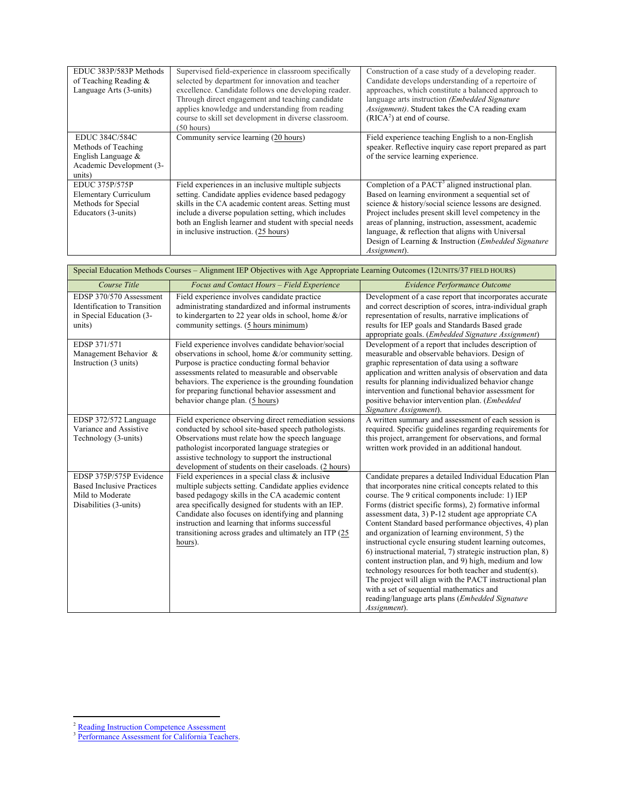| EDUC 383P/583P Methods<br>of Teaching Reading $\&$<br>Language Arts (3-units)                        | Supervised field-experience in classroom specifically<br>selected by department for innovation and teacher<br>excellence. Candidate follows one developing reader.<br>Through direct engagement and teaching candidate<br>applies knowledge and understanding from reading<br>course to skill set development in diverse classroom.<br>$(50 \text{ hours})$ | Construction of a case study of a developing reader.<br>Candidate develops understanding of a repertoire of<br>approaches, which constitute a balanced approach to<br>language arts instruction (Embedded Signature)<br>Assignment). Student takes the CA reading exam<br>$(RICA2)$ at end of course.                                                                                                                                    |
|------------------------------------------------------------------------------------------------------|-------------------------------------------------------------------------------------------------------------------------------------------------------------------------------------------------------------------------------------------------------------------------------------------------------------------------------------------------------------|------------------------------------------------------------------------------------------------------------------------------------------------------------------------------------------------------------------------------------------------------------------------------------------------------------------------------------------------------------------------------------------------------------------------------------------|
| EDUC 384C/584C<br>Methods of Teaching<br>English Language $\&$<br>Academic Development (3-<br>units) | Community service learning (20 hours)                                                                                                                                                                                                                                                                                                                       | Field experience teaching English to a non-English<br>speaker. Reflective inquiry case report prepared as part<br>of the service learning experience.                                                                                                                                                                                                                                                                                    |
| <b>EDUC 375P/575P</b><br><b>Elementary Curriculum</b><br>Methods for Special<br>Educators (3-units)  | Field experiences in an inclusive multiple subjects<br>setting. Candidate applies evidence based pedagogy<br>skills in the CA academic content areas. Setting must<br>include a diverse population setting, which includes<br>both an English learner and student with special needs<br>in inclusive instruction. (25 hours)                                | Completion of a PACT <sup>3</sup> aligned instructional plan.<br>Based on learning environment a sequential set of<br>science & history/social science lessons are designed.<br>Project includes present skill level competency in the<br>areas of planning, instruction, assessment, academic<br>language, $\&$ reflection that aligns with Universal<br>Design of Learning & Instruction ( <i>Embedded Signature</i> )<br>Assignment). |

| Special Education Methods Courses – Alignment IEP Objectives with Age Appropriate Learning Outcomes (12UNITS/37 FIELD HOURS) |                                                                                                                                                                                                                                                                                                                                                                                                         |                                                                                                                                                                                                                                                                                                                                                                                                                                                                                                                                                                                                                                                                                                                                                                                                                                |
|------------------------------------------------------------------------------------------------------------------------------|---------------------------------------------------------------------------------------------------------------------------------------------------------------------------------------------------------------------------------------------------------------------------------------------------------------------------------------------------------------------------------------------------------|--------------------------------------------------------------------------------------------------------------------------------------------------------------------------------------------------------------------------------------------------------------------------------------------------------------------------------------------------------------------------------------------------------------------------------------------------------------------------------------------------------------------------------------------------------------------------------------------------------------------------------------------------------------------------------------------------------------------------------------------------------------------------------------------------------------------------------|
| Course Title                                                                                                                 | Focus and Contact Hours - Field Experience                                                                                                                                                                                                                                                                                                                                                              | <b>Evidence Performance Outcome</b>                                                                                                                                                                                                                                                                                                                                                                                                                                                                                                                                                                                                                                                                                                                                                                                            |
| EDSP 370/570 Assessment<br>Identification to Transition<br>in Special Education (3-<br>units)                                | Field experience involves candidate practice<br>administrating standardized and informal instruments<br>to kindergarten to 22 year olds in school, home $\&$ /or<br>community settings. (5 hours minimum)                                                                                                                                                                                               | Development of a case report that incorporates accurate<br>and correct description of scores, intra-individual graph<br>representation of results, narrative implications of<br>results for IEP goals and Standards Based grade<br>appropriate goals. ( <i>Embedded Signature Assignment</i> )                                                                                                                                                                                                                                                                                                                                                                                                                                                                                                                                 |
| EDSP 371/571<br>Management Behavior &<br>Instruction (3 units)                                                               | Field experience involves candidate behavior/social<br>observations in school, home $\&$ /or community setting.<br>Purpose is practice conducting formal behavior<br>assessments related to measurable and observable<br>behaviors. The experience is the grounding foundation<br>for preparing functional behavior assessment and<br>behavior change plan. (5 hours)                                   | Development of a report that includes description of<br>measurable and observable behaviors. Design of<br>graphic representation of data using a software<br>application and written analysis of observation and data<br>results for planning individualized behavior change<br>intervention and functional behavior assessment for<br>positive behavior intervention plan. (Embedded<br>Signature Assignment).                                                                                                                                                                                                                                                                                                                                                                                                                |
| EDSP 372/572 Language<br>Variance and Assistive<br>Technology (3-units)                                                      | Field experience observing direct remediation sessions<br>conducted by school site-based speech pathologists.<br>Observations must relate how the speech language<br>pathologist incorporated language strategies or<br>assistive technology to support the instructional<br>development of students on their caseloads. (2 hours)                                                                      | A written summary and assessment of each session is<br>required. Specific guidelines regarding requirements for<br>this project, arrangement for observations, and formal<br>written work provided in an additional handout.                                                                                                                                                                                                                                                                                                                                                                                                                                                                                                                                                                                                   |
| EDSP 375P/575P Evidence<br><b>Based Inclusive Practices</b><br>Mild to Moderate<br>Disabilities (3-units)                    | Field experiences in a special class $\&$ inclusive<br>multiple subjects setting. Candidate applies evidence<br>based pedagogy skills in the CA academic content<br>area specifically designed for students with an IEP.<br>Candidate also focuses on identifying and planning<br>instruction and learning that informs successful<br>transitioning across grades and ultimately an ITP (25)<br>hours). | Candidate prepares a detailed Individual Education Plan<br>that incorporates nine critical concepts related to this<br>course. The 9 critical components include: 1) IEP<br>Forms (district specific forms), 2) formative informal<br>assessment data, 3) P-12 student age appropriate CA<br>Content Standard based performance objectives, 4) plan<br>and organization of learning environment, 5) the<br>instructional cycle ensuring student learning outcomes,<br>6) instructional material, 7) strategic instruction plan, 8)<br>content instruction plan, and 9) high, medium and low<br>technology resources for both teacher and student(s).<br>The project will align with the PACT instructional plan<br>with a set of sequential mathematics and<br>reading/language arts plans (Embedded Signature<br>Assignment). |

<sup>!!!!!!!!!!!!!!!!!!!!!!!!!!!!!!!!!!!!!!!!!!!!!!!!!!!!!!!!!!!!</sup> <sup>2</sup> Reading Instruction Competence Assessment

<sup>&</sup>lt;sup>3</sup> Performance Assessment for California Teachers.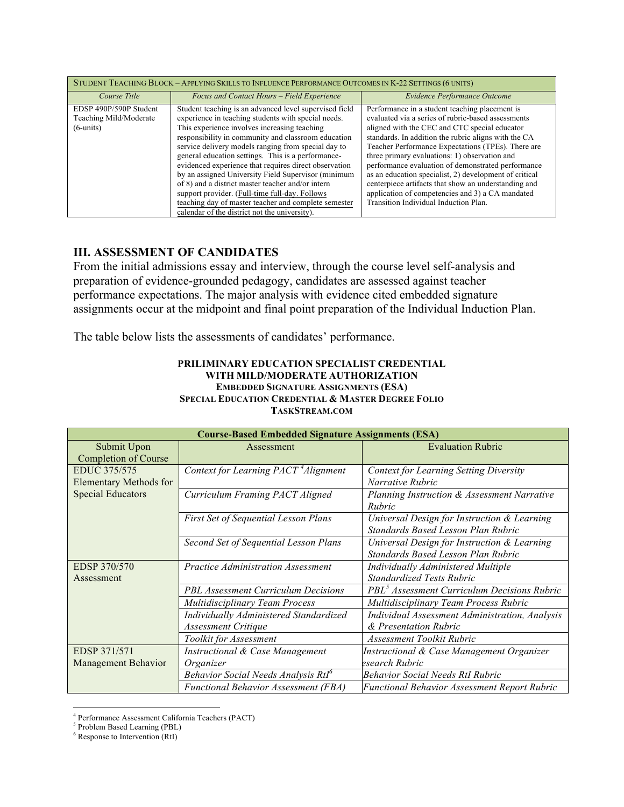| STUDENT TEACHING BLOCK - APPLYING SKILLS TO INFLUENCE PERFORMANCE OUTCOMES IN K-22 SETTINGS (6 UNITS) |                                                                                                                                                                                                                                                                                                                                                                                                                                                                                                                                                                                                                                                                   |                                                                                                                                                                                                                                                                                                                                                                                                                                                                                                                                                                                           |
|-------------------------------------------------------------------------------------------------------|-------------------------------------------------------------------------------------------------------------------------------------------------------------------------------------------------------------------------------------------------------------------------------------------------------------------------------------------------------------------------------------------------------------------------------------------------------------------------------------------------------------------------------------------------------------------------------------------------------------------------------------------------------------------|-------------------------------------------------------------------------------------------------------------------------------------------------------------------------------------------------------------------------------------------------------------------------------------------------------------------------------------------------------------------------------------------------------------------------------------------------------------------------------------------------------------------------------------------------------------------------------------------|
| Course Title                                                                                          | Focus and Contact Hours - Field Experience                                                                                                                                                                                                                                                                                                                                                                                                                                                                                                                                                                                                                        | Evidence Performance Outcome                                                                                                                                                                                                                                                                                                                                                                                                                                                                                                                                                              |
| EDSP 490P/590P Student<br>Teaching Mild/Moderate<br>$(6$ -units)                                      | Student teaching is an advanced level supervised field<br>experience in teaching students with special needs.<br>This experience involves increasing teaching<br>responsibility in community and classroom education<br>service delivery models ranging from special day to<br>general education settings. This is a performance-<br>evidenced experience that requires direct observation<br>by an assigned University Field Supervisor (minimum<br>of 8) and a district master teacher and/or intern<br>support provider. (Full-time full-day. Follows<br>teaching day of master teacher and complete semester<br>calendar of the district not the university). | Performance in a student teaching placement is<br>evaluated via a series of rubric-based assessments<br>aligned with the CEC and CTC special educator<br>standards. In addition the rubric aligns with the CA<br>Teacher Performance Expectations (TPEs). There are<br>three primary evaluations: 1) observation and<br>performance evaluation of demonstrated performance<br>as an education specialist, 2) development of critical<br>centerpiece artifacts that show an understanding and<br>application of competencies and 3) a CA mandated<br>Transition Individual Induction Plan. |

# **III. ASSESSMENT OF CANDIDATES**

From the initial admissions essay and interview, through the course level self-analysis and preparation of evidence-grounded pedagogy, candidates are assessed against teacher performance expectations. The major analysis with evidence cited embedded signature assignments occur at the midpoint and final point preparation of the Individual Induction Plan.

The table below lists the assessments of candidates' performance.

#### **PRILIMINARY EDUCATION SPECIALIST CREDENTIAL WITH MILD/MODERATE AUTHORIZATION EMBEDDED SIGNATURE ASSIGNMENTS (ESA) SPECIAL EDUCATION CREDENTIAL & MASTER DEGREE FOLIO TASKSTREAM.COM**

| <b>Course-Based Embedded Signature Assignments (ESA)</b> |                                                  |                                                         |
|----------------------------------------------------------|--------------------------------------------------|---------------------------------------------------------|
| Submit Upon                                              | Assessment                                       | <b>Evaluation Rubric</b>                                |
| <b>Completion of Course</b>                              |                                                  |                                                         |
| EDUC 375/575                                             | Context for Learning PACT <sup>4</sup> Alignment | <b>Context for Learning Setting Diversity</b>           |
| <b>Elementary Methods for</b>                            |                                                  | Narrative Rubric                                        |
| <b>Special Educators</b>                                 | Curriculum Framing PACT Aligned                  | Planning Instruction & Assessment Narrative             |
|                                                          |                                                  | Rubric                                                  |
|                                                          | First Set of Sequential Lesson Plans             | Universal Design for Instruction & Learning             |
|                                                          |                                                  | Standards Based Lesson Plan Rubric                      |
|                                                          | Second Set of Sequential Lesson Plans            | Universal Design for Instruction & Learning             |
|                                                          |                                                  | Standards Based Lesson Plan Rubric                      |
| EDSP 370/570                                             | Practice Administration Assessment               | Individually Administered Multiple                      |
| Assessment                                               |                                                  | <b>Standardized Tests Rubric</b>                        |
|                                                          | <b>PBL Assessment Curriculum Decisions</b>       | PBL <sup>3</sup> Assessment Curriculum Decisions Rubric |
|                                                          | Multidisciplinary Team Process                   | Multidisciplinary Team Process Rubric                   |
|                                                          | Individually Administered Standardized           | Individual Assessment Administration, Analysis          |
|                                                          | Assessment Critique                              | & Presentation Rubric                                   |
|                                                          | Toolkit for Assessment                           | Assessment Toolkit Rubric                               |
| EDSP 371/571                                             | Instructional & Case Management                  | Instructional & Case Management Organizer               |
| Management Behavior                                      | Organizer                                        | esearch Rubric                                          |
|                                                          | Behavior Social Needs Analysis Rtl <sup>o</sup>  | <b>Behavior Social Needs RtI Rubric</b>                 |
|                                                          | <b>Functional Behavior Assessment (FBA)</b>      | <b>Functional Behavior Assessment Report Rubric</b>     |

<sup>4</sup> Performance Assessment California Teachers (PACT)

!!!!!!!!!!!!!!!!!!!!!!!!!!!!!!!!!!!!!!!!!!!!!!!!!!!!!!!!!!!!

<sup>5</sup> Problem Based Learning (PBL)

 $6$  Response to Intervention (RtI)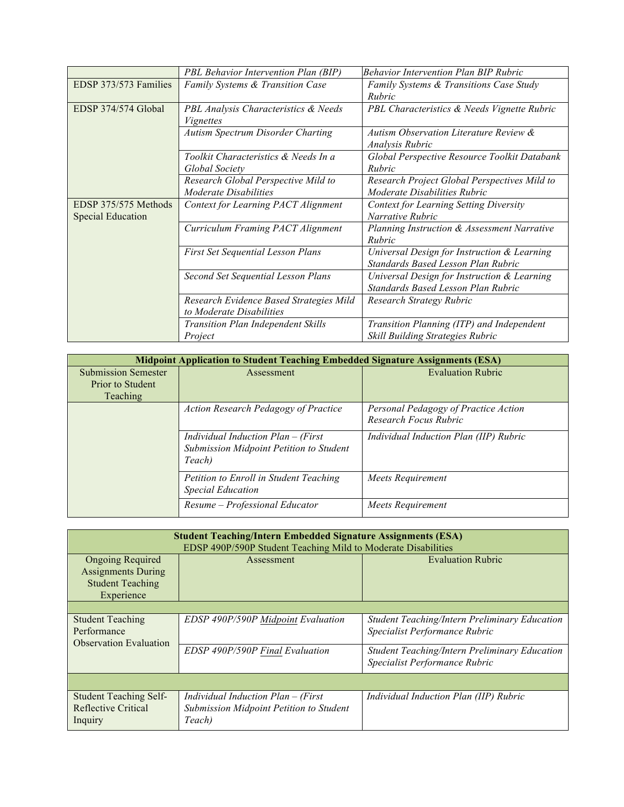|                          | PBL Behavior Intervention Plan (BIP)        | <b>Behavior Intervention Plan BIP Rubric</b>  |
|--------------------------|---------------------------------------------|-----------------------------------------------|
| EDSP 373/573 Families    | <b>Family Systems &amp; Transition Case</b> | Family Systems & Transitions Case Study       |
|                          |                                             | Rubric                                        |
| EDSP 374/574 Global      | PBL Analysis Characteristics & Needs        | PBL Characteristics & Needs Vignette Rubric   |
|                          | <i>Vignettes</i>                            |                                               |
|                          | Autism Spectrum Disorder Charting           | Autism Observation Literature Review &        |
|                          |                                             | Analysis Rubric                               |
|                          | Toolkit Characteristics & Needs In a        | Global Perspective Resource Toolkit Databank  |
|                          | Global Society                              | Rubric                                        |
|                          | Research Global Perspective Mild to         | Research Project Global Perspectives Mild to  |
|                          | Moderate Disabilities                       | Moderate Disabilities Rubric                  |
| EDSP 375/575 Methods     | Context for Learning PACT Alignment         | <b>Context for Learning Setting Diversity</b> |
| <b>Special Education</b> |                                             | Narrative Rubric                              |
|                          | Curriculum Framing PACT Alignment           | Planning Instruction & Assessment Narrative   |
|                          |                                             | Rubric                                        |
|                          | <b>First Set Sequential Lesson Plans</b>    | Universal Design for Instruction & Learning   |
|                          |                                             | Standards Based Lesson Plan Rubric            |
|                          | Second Set Sequential Lesson Plans          | Universal Design for Instruction & Learning   |
|                          |                                             | Standards Based Lesson Plan Rubric            |
|                          | Research Evidence Based Strategies Mild     | Research Strategy Rubric                      |
|                          | to Moderate Disabilities                    |                                               |
|                          | <b>Transition Plan Independent Skills</b>   | Transition Planning (ITP) and Independent     |
|                          | Project                                     | Skill Building Strategies Rubric              |

| <b>Midpoint Application to Student Teaching Embedded Signature Assignments (ESA)</b> |                                             |                                        |
|--------------------------------------------------------------------------------------|---------------------------------------------|----------------------------------------|
| <b>Submission Semester</b>                                                           | Assessment                                  | <b>Evaluation Rubric</b>               |
| Prior to Student                                                                     |                                             |                                        |
| <b>Teaching</b>                                                                      |                                             |                                        |
|                                                                                      | <b>Action Research Pedagogy of Practice</b> | Personal Pedagogy of Practice Action   |
|                                                                                      |                                             | Research Focus Rubric                  |
|                                                                                      | Individual Induction $Plan - (First)$       | Individual Induction Plan (IIP) Rubric |
|                                                                                      | Submission Midpoint Petition to Student     |                                        |
|                                                                                      | Teach)                                      |                                        |
|                                                                                      | Petition to Enroll in Student Teaching      | Meets Requirement                      |
|                                                                                      | <b>Special Education</b>                    |                                        |
|                                                                                      | Resume – Professional Educator              | Meets Requirement                      |

| <b>Student Teaching/Intern Embedded Signature Assignments (ESA)</b><br>EDSP 490P/590P Student Teaching Mild to Moderate Disabilities |                                                                                                               |                                                                                       |
|--------------------------------------------------------------------------------------------------------------------------------------|---------------------------------------------------------------------------------------------------------------|---------------------------------------------------------------------------------------|
| <b>Ongoing Required</b><br><b>Assignments During</b><br><b>Student Teaching</b><br>Experience                                        | <b>Assessment</b>                                                                                             | <b>Evaluation Rubric</b>                                                              |
|                                                                                                                                      |                                                                                                               |                                                                                       |
| <b>Student Teaching</b><br>Performance<br><b>Observation Evaluation</b>                                                              | EDSP 490P/590P Midpoint Evaluation                                                                            | <b>Student Teaching/Intern Preliminary Education</b><br>Specialist Performance Rubric |
|                                                                                                                                      | EDSP 490P/590P Final Evaluation                                                                               | <b>Student Teaching/Intern Preliminary Education</b><br>Specialist Performance Rubric |
|                                                                                                                                      |                                                                                                               |                                                                                       |
| <b>Student Teaching Self-</b><br>Reflective Critical<br>Inquiry                                                                      | <i>Individual Induction Plan <math>-</math> (First</i> )<br>Submission Midpoint Petition to Student<br>Teach) | Individual Induction Plan (IIP) Rubric                                                |